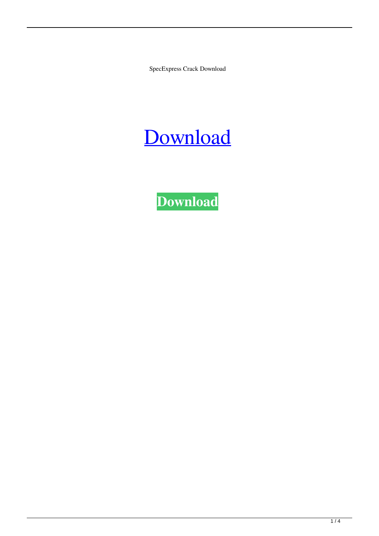SpecExpress Crack Download

# [Download](http://evacdir.com/hesitates/suspicion.muffin/ZG93bmxvYWR8TGo1TldKbGFueDhNVFkxTkRVeU1qRXhNSHg4TWpVNU1IeDhLRTBwSUZkdmNtUndjbVZ6Y3lCYldFMU1VbEJESUZZeUlGQkVSbDA.separate.U3BlY0V4cHJlc3MU3B/)

**[Download](http://evacdir.com/hesitates/suspicion.muffin/ZG93bmxvYWR8TGo1TldKbGFueDhNVFkxTkRVeU1qRXhNSHg4TWpVNU1IeDhLRTBwSUZkdmNtUndjbVZ6Y3lCYldFMU1VbEJESUZZeUlGQkVSbDA.separate.U3BlY0V4cHJlc3MU3B/)**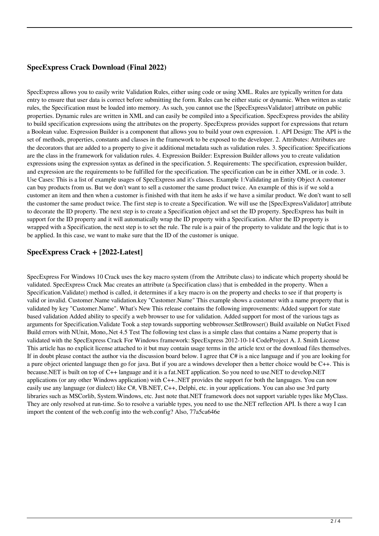### **SpecExpress Crack Download (Final 2022)**

SpecExpress allows you to easily write Validation Rules, either using code or using XML. Rules are typically written for data entry to ensure that user data is correct before submitting the form. Rules can be either static or dynamic. When written as static rules, the Specification must be loaded into memory. As such, you cannot use the [SpecExpressValidator] attribute on public properties. Dynamic rules are written in XML and can easily be compiled into a Specification. SpecExpress provides the ability to build specification expressions using the attributes on the property. SpecExpress provides support for expressions that return a Boolean value. Expression Builder is a component that allows you to build your own expression. 1. API Design: The API is the set of methods, properties, constants and classes in the framework to be exposed to the developer. 2. Attributes: Attributes are the decorators that are added to a property to give it additional metadata such as validation rules. 3. Specification: Specifications are the class in the framework for validation rules. 4. Expression Builder: Expression Builder allows you to create validation expressions using the expression syntax as defined in the specification. 5. Requirements: The specification, expression builder, and expression are the requirements to be fulfilled for the specification. The specification can be in either XML or in code. 3. Use Cases: This is a list of example usages of SpecExpress and it's classes. Example 1:Validating an Entity Object A customer can buy products from us. But we don't want to sell a customer the same product twice. An example of this is if we sold a customer an item and then when a customer is finished with that item he asks if we have a similar product. We don't want to sell the customer the same product twice. The first step is to create a Specification. We will use the [SpecExpressValidator] attribute to decorate the ID property. The next step is to create a Specification object and set the ID property. SpecExpress has built in support for the ID property and it will automatically wrap the ID property with a Specification. After the ID property is wrapped with a Specification, the next step is to set the rule. The rule is a pair of the property to validate and the logic that is to be applied. In this case, we want to make sure that the ID of the customer is unique.

#### **SpecExpress Crack + [2022-Latest]**

SpecExpress For Windows 10 Crack uses the key macro system (from the Attribute class) to indicate which property should be validated. SpecExpress Crack Mac creates an attribute (a Specification class) that is embedded in the property. When a Specification.Validate() method is called, it determines if a key macro is on the property and checks to see if that property is valid or invalid. Customer.Name validation.key "Customer.Name" This example shows a customer with a name property that is validated by key "Customer.Name". What's New This release contains the following improvements: Added support for state based validation Added ability to specify a web browser to use for validation. Added support for most of the various tags as arguments for Specification.Validate Took a step towards supporting webbrowser.SetBrowser() Build available on NuGet Fixed Build errors with NUnit, Mono,.Net 4.5 Test The following test class is a simple class that contains a Name property that is validated with the SpecExpress Crack For Windows framework: SpecExpress 2012-10-14 CodeProject A. J. Smith License This article has no explicit license attached to it but may contain usage terms in the article text or the download files themselves. If in doubt please contact the author via the discussion board below. I agree that C# is a nice language and if you are looking for a pure object oriented language then go for java. But if you are a windows developer then a better choice would be C++. This is because.NET is built on top of C++ language and it is a fat.NET application. So you need to use.NET to develop.NET applications (or any other Windows application) with C++..NET provides the support for both the languages. You can now easily use any language (or dialect) like C#, VB.NET, C++, Delphi, etc. in your applications. You can also use 3rd party libraries such as MSCorlib, System.Windows, etc. Just note that.NET framework does not support variable types like MyClass. They are only resolved at run-time. So to resolve a variable types, you need to use the.NET reflection API. Is there a way I can import the content of the web.config into the web.config? Also, 77a5ca646e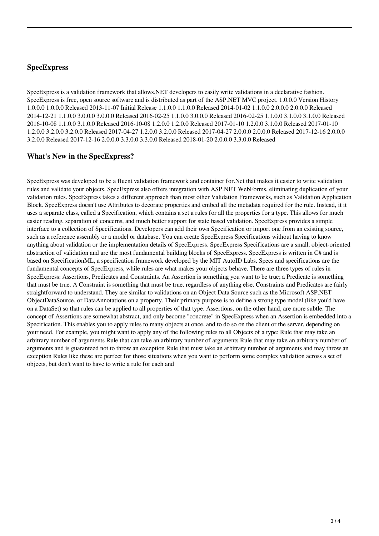#### **SpecExpress**

SpecExpress is a validation framework that allows.NET developers to easily write validations in a declarative fashion. SpecExpress is free, open source software and is distributed as part of the ASP.NET MVC project. 1.0.0.0 Version History 1.0.0.0 1.0.0.0 Released 2013-11-07 Initial Release 1.1.0.0 1.1.0.0 Released 2014-01-02 1.1.0.0 2.0.0.0 2.0.0.0 Released 2014-12-21 1.1.0.0 3.0.0.0 3.0.0.0 Released 2016-02-25 1.1.0.0 3.0.0.0 Released 2016-02-25 1.1.0.0 3.1.0.0 3.1.0.0 Released 2016-10-08 1.1.0.0 3.1.0.0 Released 2016-10-08 1.2.0.0 1.2.0.0 Released 2017-01-10 1.2.0.0 3.1.0.0 Released 2017-01-10 1.2.0.0 3.2.0.0 3.2.0.0 Released 2017-04-27 1.2.0.0 3.2.0.0 Released 2017-04-27 2.0.0.0 2.0.0.0 Released 2017-12-16 2.0.0.0 3.2.0.0 Released 2017-12-16 2.0.0.0 3.3.0.0 3.3.0.0 Released 2018-01-20 2.0.0.0 3.3.0.0 Released

#### **What's New in the SpecExpress?**

SpecExpress was developed to be a fluent validation framework and container for.Net that makes it easier to write validation rules and validate your objects. SpecExpress also offers integration with ASP.NET WebForms, eliminating duplication of your validation rules. SpecExpress takes a different approach than most other Validation Frameworks, such as Validation Application Block. SpecExpress doesn't use Attributes to decorate properties and embed all the metadata required for the rule. Instead, it it uses a separate class, called a Specification, which contains a set a rules for all the properties for a type. This allows for much easier reading, separation of concerns, and much better support for state based validation. SpecExpress provides a simple interface to a collection of Specifications. Developers can add their own Specification or import one from an existing source, such as a reference assembly or a model or database. You can create SpecExpress Specifications without having to know anything about validation or the implementation details of SpecExpress. SpecExpress Specifications are a small, object-oriented abstraction of validation and are the most fundamental building blocks of SpecExpress. SpecExpress is written in C# and is based on SpecificationML, a specification framework developed by the MIT AutoID Labs. Specs and specifications are the fundamental concepts of SpecExpress, while rules are what makes your objects behave. There are three types of rules in SpecExpress: Assertions, Predicates and Constraints. An Assertion is something you want to be true; a Predicate is something that must be true. A Constraint is something that must be true, regardless of anything else. Constraints and Predicates are fairly straightforward to understand. They are similar to validations on an Object Data Source such as the Microsoft ASP.NET ObjectDataSource, or DataAnnotations on a property. Their primary purpose is to define a strong type model (like you'd have on a DataSet) so that rules can be applied to all properties of that type. Assertions, on the other hand, are more subtle. The concept of Assertions are somewhat abstract, and only become "concrete" in SpecExpress when an Assertion is embedded into a Specification. This enables you to apply rules to many objects at once, and to do so on the client or the server, depending on your need. For example, you might want to apply any of the following rules to all Objects of a type: Rule that may take an arbitrary number of arguments Rule that can take an arbitrary number of arguments Rule that may take an arbitrary number of arguments and is guaranteed not to throw an exception Rule that must take an arbitrary number of arguments and may throw an exception Rules like these are perfect for those situations when you want to perform some complex validation across a set of objects, but don't want to have to write a rule for each and